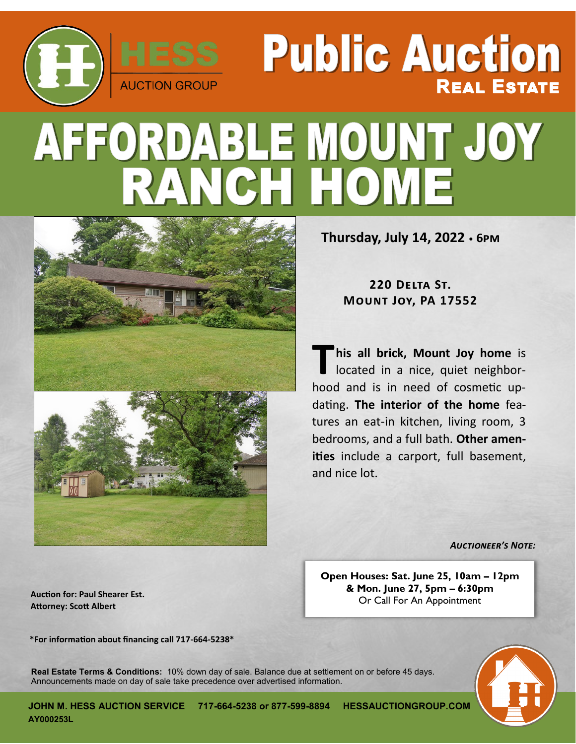# **REAL ESTATE AUCTION GROUP** AFFORDABLE MOUNT JOY **CH HOME**



**Thursday, July 14, 2022 • 6pm**

**Public Auction** 

**220 Delta St. Mount Joy, PA 17552**

**T his all brick, Mount Joy home** is located in a nice, quiet neighborhood and is in need of cosmetic updating. **The interior of the home** features an eat-in kitchen, living room, 3 bedrooms, and a full bath. **Other amenities** include a carport, full basement, and nice lot.

*Auctioneer's Note:* 

**Open Houses: Sat. June 25, 10am – 12pm & Mon. June 27, 5pm – 6:30pm** Or Call For An Appointment

**Auction for: Paul Shearer Est. Attorney: Scott Albert**

**\*For information about financing call 717-664-5238\***

**Real Estate Terms & Conditions:** 10% down day of sale. Balance due at settlement on or before 45 days. Announcements made on day of sale take precedence over advertised information.